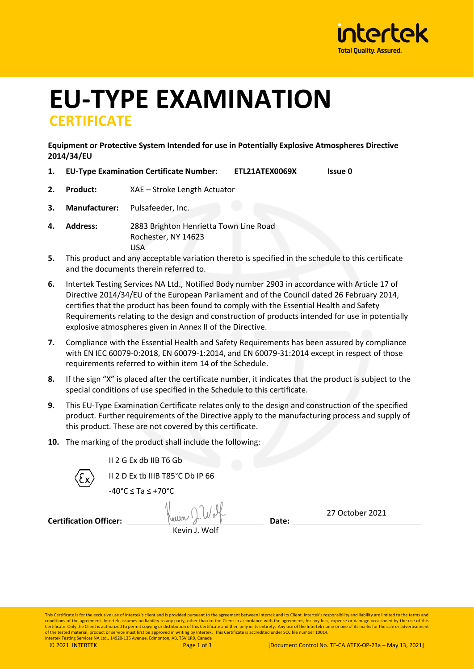

# **EU-TYPE EXAMINATION CERTIFICATE**

**Equipment or Protective System Intended for use in Potentially Explosive Atmospheres Directive 2014/34/EU**

- **1. EU-Type Examination Certificate Number: ETL21ATEX0069X Issue 0**
- **2. Product:** XAE Stroke Length Actuator
- **3. Manufacturer:** Pulsafeeder, Inc.
- **4. Address:** 2883 Brighton Henrietta Town Line Road Rochester, NY 14623 USA
- **5.** This product and any acceptable variation thereto is specified in the schedule to this certificate and the documents therein referred to.
- **6.** Intertek Testing Services NA Ltd., Notified Body number 2903 in accordance with Article 17 of Directive 2014/34/EU of the European Parliament and of the Council dated 26 February 2014, certifies that the product has been found to comply with the Essential Health and Safety Requirements relating to the design and construction of products intended for use in potentially explosive atmospheres given in Annex II of the Directive.
- **7.** Compliance with the Essential Health and Safety Requirements has been assured by compliance with EN IEC 60079-0:2018, EN 60079-1:2014, and EN 60079-31:2014 except in respect of those requirements referred to within item 14 of the Schedule.
- **8.** If the sign "X" is placed after the certificate number, it indicates that the product is subject to the special conditions of use specified in the Schedule to this certificate.
- **9.** This EU-Type Examination Certificate relates only to the design and construction of the specified product. Further requirements of the Directive apply to the manufacturing process and supply of this product. These are not covered by this certificate.
- **10.** The marking of the product shall include the following:



II 2 G Ex db IIB T6 Gb

II 2 D Ex tb IIIB T85°C Db IP 66

 $-40^{\circ}$ C < Ta <  $+70^{\circ}$ C

**Certification Officer:**  $\frac{1}{2}$   $\frac{1}{2}$   $\frac{1}{2}$  Date: Kevin J. Wolf

27 October 2021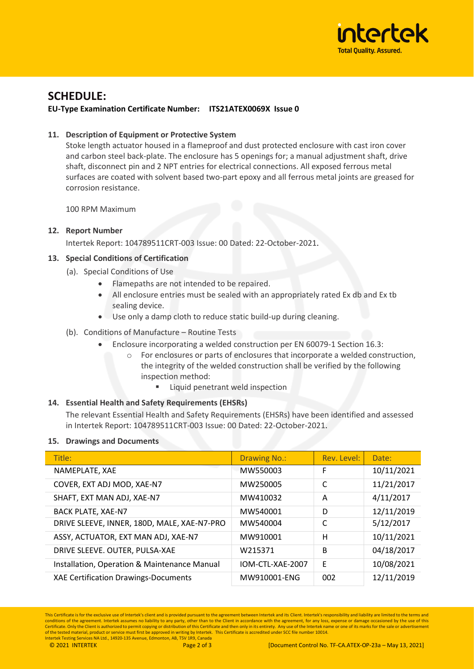

### **SCHEDULE:**

#### **EU-Type Examination Certificate Number: ITS21ATEX0069X Issue 0**

#### **11. Description of Equipment or Protective System**

Stoke length actuator housed in a flameproof and dust protected enclosure with cast iron cover and carbon steel back-plate. The enclosure has 5 openings for; a manual adjustment shaft, drive shaft, disconnect pin and 2 NPT entries for electrical connections. All exposed ferrous metal surfaces are coated with solvent based two-part epoxy and all ferrous metal joints are greased for corrosion resistance.

100 RPM Maximum

#### **12. Report Number**

Intertek Report: 104789511CRT-003 Issue: 00 Dated: 22-October-2021.

#### **13. Special Conditions of Certification**

- (a). Special Conditions of Use
	- Flamepaths are not intended to be repaired.
	- All enclosure entries must be sealed with an appropriately rated Ex db and Ex tb sealing device.
	- Use only a damp cloth to reduce static build-up during cleaning.

#### (b). Conditions of Manufacture – Routine Tests

- Enclosure incorporating a welded construction per EN 60079-1 Section 16.3:
	- o For enclosures or parts of enclosures that incorporate a welded construction, the integrity of the welded construction shall be verified by the following inspection method:
		- Liquid penetrant weld inspection

#### **14. Essential Health and Safety Requirements (EHSRs)**

The relevant Essential Health and Safety Requirements (EHSRs) have been identified and assessed in Intertek Report: 104789511CRT-003 Issue: 00 Dated: 22-October-2021.

#### **15. Drawings and Documents**

| Title:                                       | <b>Drawing No.:</b> | Rev. Level: | Date:      |
|----------------------------------------------|---------------------|-------------|------------|
| NAMEPLATE, XAE                               | MW550003            | F           | 10/11/2021 |
| COVER, EXT ADJ MOD, XAE-N7                   | MW250005            | С           | 11/21/2017 |
| SHAFT, EXT MAN ADJ, XAE-N7                   | MW410032            | A           | 4/11/2017  |
| <b>BACK PLATE, XAE-N7</b>                    | MW540001            | D           | 12/11/2019 |
| DRIVE SLEEVE, INNER, 180D, MALE, XAE-N7-PRO  | MW540004            | C           | 5/12/2017  |
| ASSY, ACTUATOR, EXT MAN ADJ, XAE-N7          | MW910001            | Н           | 10/11/2021 |
| DRIVE SLEEVE. OUTER, PULSA-XAE               | W215371             | B           | 04/18/2017 |
| Installation, Operation & Maintenance Manual | IOM-CTL-XAE-2007    | F           | 10/08/2021 |
| <b>XAE Certification Drawings-Documents</b>  | MW910001-ENG        | 002         | 12/11/2019 |

This Certificate is for the exclusive use of Intertek's client and is provided pursuant to the agreement between Intertek and its Client. Intertek's responsibility and liability are limited to the terms and conditions of the agreement. Intertek assumes no liability to any party, other than to the Client in accordance with the agreement, for any loss, expense or damage occasioned by the use of this<br>Certificate. Only the Client of the tested material, product or service must first be approved in writing by Intertek. This Certificate is accredited under SCC file number 10014.<br>Intertek Testing Services NA Ltd., 14920-135 Avenue, Edmonton, AB, T5V 1